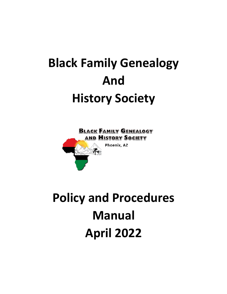# **Black Family Genealogy And History Society**



# **Policy and Procedures Manual April 2022**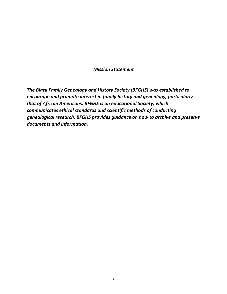### *Mission Statement*

*The Black Family Genealogy and History Society (BFGHS) was established to encourage and promote interest in family history and genealogy, particularly that of African Americans. BFGHS is an educational Society, which communicates ethical standards and scientific methods of conducting genealogical research. BFGHS provides guidance on how to archive and preserve documents and information.*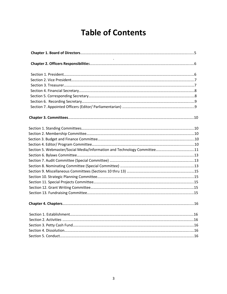# **Table of Contents**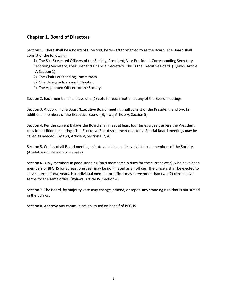## **Chapter 1. Board of Directors**

Section 1. There shall be a Board of Directors, herein after referred to as the Board. The Board shall consist of the following:

1). The Six (6) elected Officers of the Society, President, Vice President, Corresponding Secretary, Recording Secretary, Treasurer and Financial Secretary. This is the Executive Board. (Bylaws, Article IV, Section 1)

- 2). The Chairs of Standing Committees.
- 3). One delegate from each Chapter.
- 4). The Appointed Officers of the Society.

Section 2. Each member shall have one (1) vote for each motion at any of the Board meetings.

Section 3. A quorum of a Board/Executive Board meeting shall consist of the President, and two (2) additional members of the Executive Board. (Bylaws, Article V, Section 5)

Section 4. Per the current Bylaws the Board shall meet at least four times a year, unless the President calls for additional meetings. The Executive Board shall meet quarterly. Special Board meetings may be called as needed. (Bylaws, Article V, Section1, 2, 4)

Section 5. Copies of all Board meeting minutes shall be made available to all members of the Society. (Available on the Society website)

Section 6.Only members in good standing (paid membership dues for the current year), who have been members of BFGHS for at least one year may be nominated as an officer. The officers shall be elected to serve a term of two years. No individual member or officer may serve more than two (2) consecutive terms for the same office. (Bylaws, Article IV, Section 4)

Section 7. The Board, by majority vote may change, amend, or repeal any standing rule that is not stated in the Bylaws.

Section 8. Approve any communication issued on behalf of BFGHS.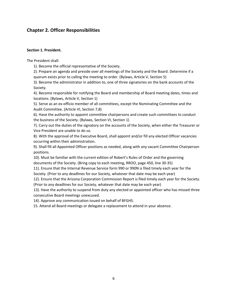# **Chapter 2. Officer Responsibilities**

#### **Section 1. President.**

The President shall:

1). Become the official representative of the Society.

2). Prepare an agenda and preside over all meetings of the Society and the Board. Determine if a quorum exists prior to calling the meeting to order. (Bylaws, Article V, Section 5)

3). Become the administrator in addition to, one of three signatories on the bank accounts of the Society.

4). Become responsible for notifying the Board and membership of Board meeting dates, times and locations. (Bylaws, Article V, Section 1)

5). Serve as an ex-officio member of all committees, except the Nominating Committee and the Audit Committee. (Article VI, Section 7,8)

6). Have the authority to appoint committee chairpersons and create such committees to conduct the business of the Society. (Bylaws, Section VI, Section 1)

7). Carry out the duties of the signatory on the accounts of the Society, when either the Treasurer or Vice President are unable to do so.

8). With the approval of the Executive Board, shall appoint and/or fill any elected Officer vacancies occurring within their administration.

9). Shall fill all Appointed Officer positions as needed, along with any vacant Committee Chairperson positions.

10). Must be familiar with the current edition of Robert's Rules of Order and the governing documents of the Society. (Bring copy to each meeting, RROO, page 450, line 30-35)

11). Ensure that the Internal Revenue Service form 990 or 990N is filed timely each year for the Society. (Prior to any deadlines for our Society, whatever that date may be each year)

12). Ensure that the Arizona Corporation Commission Report is filed timely each year for the Society. (Prior to any deadlines for our Society, whatever that date may be each year)

13). Have the authority to suspend from duty any elected or appointed officer who has missed three consecutive Board meetings unexcused.

14). Approve any communication issued on behalf of BFGHS.

15. Attend all Board meetings or delegate a replacement to attend in your absence.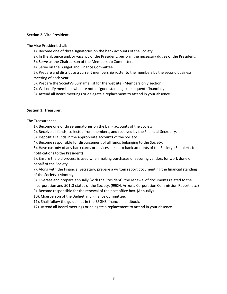#### **Section 2. Vice President.**

The Vice President shall:

- 1). Become one of three signatories on the bank accounts of the Society.
- 2). In the absence and/or vacancy of the President, perform the necessary duties of the President.
- 3). Serve as the Chairperson of the Membership Committee.
- 4). Serve on the Budget and Finance Committee.

5). Prepare and distribute a current membership roster to the members by the second business meeting of each year.

- 6). Prepare the Society's Surname list for the website. (Members only section)
- 7). Will notify members who are not in "good standing" (delinquent) financially.
- 8). Attend all Board meetings or delegate a replacement to attend in your absence.

#### **Section 3. Treasurer.**

The Treasurer shall:

- 1). Become one of three signatories on the bank accounts of the Society.
- 2). Receive all funds, collected from members, and received by the Financial Secretary.
- 3). Deposit all funds in the appropriate accounts of the Society.
- 4). Become responsible for disbursement of all funds belonging to the Society.

5). Have custody of any bank cards or devices linked to bank accounts of the Society. (Set alerts for notifications to the President)

6). Ensure the bid process is used when making purchases or securing vendors for work done on behalf of the Society.

7). Along with the Financial Secretary, prepare a written report documenting the financial standing of the Society. (Monthly)

8). Oversee and prepare annually (with the President), the renewal of documents related to the incorporation and 501c3 status of the Society. (990N, Arizona Corporation Commission Report, etc.)

9). Become responsible for the renewal of the post office box. (Annually)

10). Chairperson of the Budget and Finance Committee.

11). Shall follow the guidelines in the BFGHS financial handbook.

12). Attend all Board meetings or delegate a replacement to attend in your absence.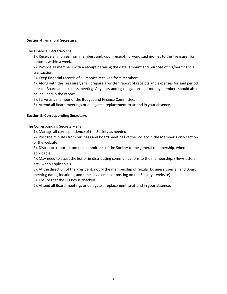#### **Section 4. Financial Secretary.**

The Financial Secretary shall:

1). Receive all monies from members and, upon receipt, forward said monies to the Treasurer for deposit, within a week.

2). Provide all members with a receipt detailing the date, amount and purpose of his/her financial transaction.

3). Keep financial records of all monies received from members.

4). Along with the Treasurer, shall prepare a written report of receipts and expenses for said period at each Board and business meeting. Any outstanding obligations not met by members should also be included in the report.

5). Serve as a member of the Budget and Finance Committee.

6). Attend all Board meetings or delegate a replacement to attend in your absence.

#### **Section 5. Corresponding Secretary.**

The Corresponding Secretary shall:

1). Manage all correspondence of the Society as needed.

2). Post the minutes from business and Board meetings of the Society in the Member's only section of the website.

3). Distribute reports from the committees of the Society to the general membership, when applicable.

4). May need to assist the Editor in distributing communications to the membership. (Newsletters, etc., when applicable.)

5). At the direction of the President, notify the membership of regular business, special, and Board meeting dates, locations, and times. (via email or posting on the Society's website)

6). Ensure that the PO Box is checked.

7). Attend all Board meetings or delegate a replacement to attend in your absence.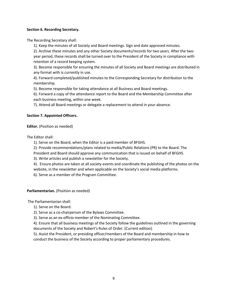#### **Section 6. Recording Secretary.**

The Recording Secretary shall:

1). Keep the minutes of all Society and Board meetings. Sign and date approved minutes.

2). Archive these minutes and any other Society documents/records for two years. After the twoyear period, these records shall be turned over to the President of the Society in compliance with retention of a record keeping system.

3). Become responsible for ensuring the minutes of all Society and Board meetings are distributed in any format with is currently in use.

4). Forward completed/published minutes to the Corresponding Secretary for distribution to the membership.

5). Become responsible for taking attendance at all Business and Board meetings.

6). Forward a copy of the attendance report to the Board and the Membership Committee after each business meeting, within one week.

7). Attend all Board meetings or delegate a replacement to attend in your absence.

#### **Section 7. Appointed Officers.**

**Editor.** (Position as needed)

The Editor shall:

1). Serve on the Board, when the Editor is a paid member of BFGHS.

2). Provide recommendations/plans related to media/Public Relations (PR) to the Board. The

President and Board should approve any communication that is issued on behalf of BFGHS.

3). Write articles and publish a newsletter for the Society.

4). Ensure photos are taken at all society events and coordinate the publishing of the photos on the website, in the newsletter and when applicable on the Society's social media platforms.

6). Serve as a member of the Program Committee.

#### **Parliamentarian.** (Position as needed)

The Parliamentarian shall:

1). Serve on the Board.

2). Serve as a co-chairperson of the Bylaws Committee.

3). Serve as an ex-officio member of the Nominating Committee.

4). Ensure that all business meetings of the Society follow the guidelines outlined in the governing documents of the Society and Robert's Rules of Order. (Current edition)

5). Assist the President, or presiding officer/members of the Board and membership in how to conduct the business of the Society according to proper parliamentary procedures.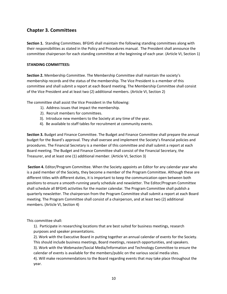## **Chapter 3. Committees**

**Section 1.** Standing Committees. BFGHS shall maintain the following standing committees along with their responsibilities as stated in the Policy and Procedures manual. The President shall announce the committee chairperson for each standing committee at the beginning of each year. (Article VI, Section 1)

#### **STANDING COMMITTEES:**

**Section 2.** Membership Committee. The Membership Committee shall maintain the society's membership records and the status of the membership. The Vice President is a member of this committee and shall submit a report at each Board meeting. The Membership Committee shall consist of the Vice President and at least two (2) additional members. (Article VI, Section 2)

The committee shall assist the Vice President in the following:

- 1). Address issues that impact the membership.
- 2). Recruit members for committees.
- 3). Introduce new members to the Society at any time of the year.
- 4). Be available to staff tables for recruitment at community events.

**Section 3.** Budget and Finance Committee. The Budget and Finance Committee shall prepare the annual budget for the Board's approval. They shall oversee and implement the Society's financial policies and procedures. The Financial Secretary is a member of this committee and shall submit a report at each Board meeting. The Budget and Finance Committee shall consist of the Financial Secretary, the Treasurer, and at least one (1) additional member. (Article VI, Section 3)

**Section 4.** Editor/Program Committee. When the Society appoints an Editor for any calendar year who is a paid member of the Society, they become a member of the Program Committee. Although these are different titles with different duties, it is important to keep the communication open between both positions to ensure a smooth-running yearly schedule and newsletter. The Editor/Program Committee shall schedule all BFGHS activities for the master calendar. The Program Committee shall publish a quarterly newsletter. The chairperson from the Program Committee shall submit a report at each Board meeting. The Program Committee shall consist of a chairperson, and at least two (2) additional members. (Article VI, Section 4)

This committee shall:

1). Participate in researching locations that are best suited for business meetings, research purposes and speaker presentations.

2). Work with the Executive Board in putting together an annual calendar of events for the Society. This should include business meetings, Board meetings, research opportunities, and speakers.

3). Work with the Webmaster/Social Media/Information and Technology Committee to ensure the calendar of events is available for the members/public on the various social media sites.

4). Will make recommendations to the Board regarding events that may take place throughout the year.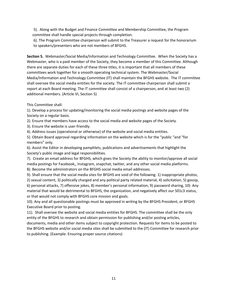5). Along with the Budget and Finance Committee and Membership Committee, the Program committee shall handle special projects through completion.

6). The Program Committee chairperson will submit to the Treasurer a request for the honorarium to speakers/presenters who are not members of BFGHS.

**Section 5.** Webmaster/Social Media/Information and Technology Committee. When the Society has a Webmaster, who is a paid member of the Society, they become a member of this Committee. Although there are separate duties for each of these three titles, it is important that all members of these committees work together for a smooth operating technical system. The Webmaster/Social Media/Information and Technology Committee (IT) shall maintain the BFGHS website. The IT committee shall oversee the social media entities for the society. The IT committee chairperson shall submit a report at each Board meeting. The IT committee shall consist of a chairperson, and at least two (2) additional members. (Article VI, Section 5)

This Committee shall:

1). Develop a process for updating/monitoring the social media postings and website pages of the Society on a regular basis.

2). Ensure that members have access to the social media and website pages of the Society.

3). Ensure the website is user-friendly.

4). Address issues (operational or otherwise) of the website and social media entities.

5). Obtain Board approval regarding information on the website which is for the "public "and "for members" only.

6). Assist the Editor in developing pamphlets, publications and advertisements that highlight the Society's public image and legal responsibilities.

7). Create an email address for BFGHS, which gives the Society the ability to monitor/approve all social media postings for Facebook,, Instagram, snapchat, twitter, and any other social media platforms.

8). Become the administrators on the BFGHS social media email addresses.

9). Shall ensure that the social media sites for BFGHS are void of the following: 1) inappropriate photos,

2) sexual content, 3) politically charged and any political party related material, 4) solicitation, 5) gossip, 6) personal attacks, 7) offensive jokes, 8) member's personal information, 9) password sharing, 10) Any material that would be detrimental to BFGHS, the organization, and negatively affect our 501c3 status, or that would not comply with BFGHS core mission and goals.

10). Any and all questionable postings must be approved in writing by the BFGHS President, or BFGHS Executive Board prior to posting.

11). Shall oversee the website and social media entities for BFGHS. The committee shall be the only entity of the BFGHS to research and obtain permission for publishing and/or posting articles,

documents, media and other items subject to copyright protection. Requests for items to be posted to the BFGHS website and/or social media sites shall be submitted to the (IT) Committee for research prior to publishing. (Example: Ensuring proper source citations)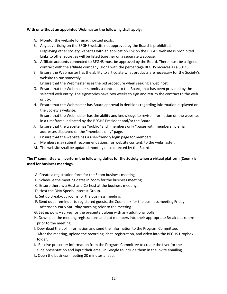#### **With or without an appointed Webmaster the following shall apply:**

- A. Monitor the website for unauthorized posts.
- B. Any advertising on the BFGHS website not approved by the Board is prohibited.
- C. Displaying other society websites with an application link on the BFGHS website is prohibited. Links to other societies will be listed together on a separate webpage.
- D. Affiliate accounts connected to BFGHS must be approved by the Board. There must be a signed contract with the affiliate company, along with the percentage BFGHS receives as a 501c3.
- E. Ensure the Webmaster has the ability to articulate what products are necessary for the Society's website to run smoothly.
- F. Ensure that the Webmaster uses the bid procedure when seeking a web host.
- G. Ensure that the Webmaster submits a contract, to the Board, that has been provided by the selected web entity. The signatories have two weeks to sign and return the contract to the web entity.
- H. Ensure that the Webmaster has Board approval in decisions regarding information displayed on the Society's website.
- I. Ensure that the Webmaster has the ability and knowledge to revise information on the website, in a timeframe indicated by the BFGHS President and/or the Board.
- J. Ensure that the website has "public "and "members only "pages with membership email addresses displayed on the "members only" page.
- K. Ensure that the website has a user-friendly login page for members.
- L. Members may submit recommendations, for website content, to the webmaster.
- M. The website shall be updated monthly or as directed by the Board.

#### **The IT committee will perform the following duties for the Society when a virtual platform (Zoom) is used for business meetings.**

- A. Create a registration form for the Zoom business meeting.
- B. Schedule the meeting dates in Zoom for the business meeting.
- C. Ensure there is a Host and Co-host at the business meeting.
- D. Host the DNA Special Interest Group.
- E. Set up Break-out rooms for the business meeting.
- F. Send out a reminder to registered guests, the Zoom link for the business meeting Friday Afternoon-early Saturday morning prior to the meeting.
- G. Set up polls survey for the presenter, along with any additional polls.
- H. Download the meeting registrations and put members into their appropriate Break-out rooms prior to the meeting.
- I. Download the poll information and send the information to the Program Committee.
- J. After the meeting, upload the recording, chat, registration, and video into the BFGHS Dropbox folder.
- K. Receive presenter information from the Program Committee to create the flyer for the slide presentation and input their email in Google to include them in the invite emailing.
- L. Open the business meeting 20 minutes ahead.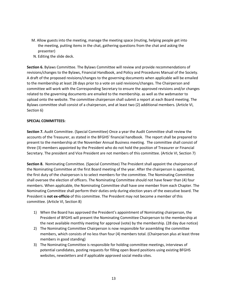- M. Allow guests into the meeting, manage the meeting space (muting, helping people get into the meeting, putting items in the chat, gathering questions from the chat and asking the presenter)
- N. Editing the slide deck.

**Section 6.** Bylaws Committee. The Bylaws Committee will review and provide recommendations of revisions/changes to the Bylaws, Financial Handbook, and Policy and Procedures Manual of the Society. A draft of the proposed revisions/changes to the governing documents when applicable will be emailed to the membership at least 28 days prior to a vote on said revisions/changes. The Chairperson and committee will work with the Corresponding Secretary to ensure the approved revisions and/or changes related to the governing documents are emailed to the membership. as well as the webmaster to upload onto the website. The committee chairperson shall submit a report at each Board meeting. The Bylaws committee shall consist of a chairperson, and at least two (2) additional members. (Article VI, Section 6)

#### **SPECIAL COMMITTEES:**

**Section 7.** Audit Committee. (Special Committee) Once a year the Audit Committee shall review the accounts of the Treasurer, as stated in the BFGHS' financial handbook. The report shall be prepared to present to the membership at the November Annual Business meeting. The committee shall consist of three (3) members appointed by the President who do not hold the position of Treasurer or Financial Secretary. The president and Vice President are not members of this committee. (Article VI, Section 7)

**Section 8.** Nominating Committee. (Special Committee) The President shall appoint the chairperson of the Nominating Committee at the first Board meeting of the year. After the chairperson is appointed, the first duty of the chairperson is to select members for the committee. The Nominating Committee shall oversee the election of officers. The Nominating Committee should not have fewer than (4) four members. When applicable, the Nominating Committee shall have one member from each Chapter. The Nominating Committee shall perform their duties only during election years of the executive board. The President is **not ex-officio** of this committee. The President may not become a member of this committee. (Article VI, Section 8)

- 1) When the Board has approved the President's appointment of Nominating chairperson, the President of BFGHS will present the Nominating Committee Chairperson to the membership at the next available monthly meeting for approval (vote) by the membership. (28 day due notice)
- 2) The Nominating Committee Chairperson is now responsible for assembling the committee members, which consists of no less than four (4) members total. (Chairperson plus at least three members in good standing)
- 3) The Nominating Committee is responsible for holding committee meetings, interviews of potential candidates, posting requests for filling open Board positions using existing BFGHS websites, newsletters and if applicable approved social media sites.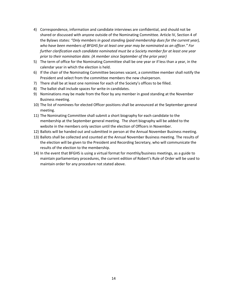- 4) Correspondence, information and candidate interviews are confidential, and should not be shared or discussed with anyone outside of the Nominating Committee. Article IV, Section 4 of the Bylaws states: *"Only members in good standing (paid membership dues for the current year), who have been members of BFGHS for at least one year may be nominated as an officer." For further clarification each candidate nominated must be a Society member for at least one year prior to their nomination date. (A member since September of the prior year)*
- 5) The term of office for the Nominating Committee shall be one year or if less than a year, in the calendar year in which the election is held.
- 6) If the chair of the Nominating Committee becomes vacant, a committee member shall notify the President and select from the committee members the new chairperson.
- 7) There shall be at least one nominee for each of the Society's offices to be filled.
- 8) The ballot shall include spaces for write-in candidates.
- 9) Nominations may be made from the floor by any member in good standing at the November Business meeting.
- 10) The list of nominees for elected Officer positions shall be announced at the September general meeting.
- 11) The Nominating Committee shall submit a short biography for each candidate to the membership at the September general meeting. The short biography will be added to the website in the members only section until the election of Officers in November.
- 12) Ballots will be handed out and submitted in person at the Annual November Business meeting.
- 13) Ballots shall be collected and counted at the Annual November Business meeting. The results of the election will be given to the President and Recording Secretary, who will communicate the results of the election to the membership.
- 14) In the event that BFGHS is using a virtual format for monthly/business meetings, as a guide to maintain parliamentary procedures, the current edition of Robert's Rule of Order will be used to maintain order for any procedure not stated above.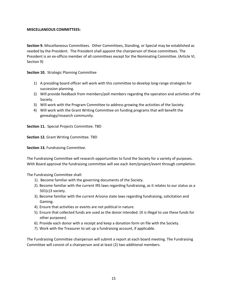#### **MISCELLANEOUS COMMITTEES:**

**Section 9.** Miscellaneous Committees. Other Committees, Standing, or Special may be established as needed by the President. The President shall appoint the chairperson of these committees. The President is an ex-officio member of all committees except for the Nominating Committee. (Article VI, Section 9)

**Section 10.** Strategic Planning Committee

- 1) A presiding board officer will work with this committee to develop long-range strategies for succession planning.
- 2) Will provide feedback from members/poll members regarding the operation and activities of the Society.
- 3) Will work with the Program Committee to address growing the activities of the Society.
- 4) Will work with the Grant Writing Committee on funding programs that will benefit the genealogy/research community.

**Section 11.** Special Projects Committee. TBD

**Section 12.** Grant Writing Committee. TBD

**Section 13.** Fundraising Committee.

The Fundraising Committee will research opportunities to fund the Society for a variety of purposes. With Board approval the fundraising committee will see each item/project/event through completion.

The Fundraising Committee shall:

- 1). Become familiar with the governing documents of the Society.
- 2). Become familiar with the current IRS laws regarding fundraising, as it relates to our status as a 501(c)3 society.
- 3). Become familiar with the current Arizona state laws regarding fundraising, solicitation and Gaming.
- 4). Ensure that activities or events are not political in nature.
- 5). Ensure that collected funds are used as the donor intended. (It is illegal to use these funds for other purposes)
- 6). Provide each donor with a receipt and keep a donation form on file with the Society.
- 7). Work with the Treasurer to set up a fundraising account, if applicable.

The Fundraising Committee chairperson will submit a report at each board meeting. The Fundraising Committee will consist of a chairperson and at least (2) two additional members.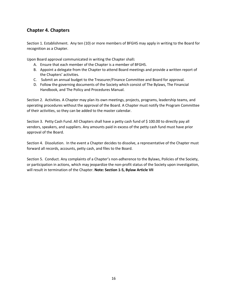# **Chapter 4. Chapters**

Section 1. Establishment. Any ten (10) or more members of BFGHS may apply in writing to the Board for recognition as a Chapter.

Upon Board approval communicated in writing the Chapter shall**:**

- A. Ensure that each member of the Chapter is a member of BFGHS.
- B. Appoint a delegate from the Chapter to attend Board meetings and provide a written report of the Chapters' activities.
- C. Submit an annual budget to the Treasurer/Finance Committee and Board for approval.
- D. Follow the governing documents of the Society which consist of The Bylaws, The Financial Handbook, and The Policy and Procedures Manual.

Section 2. Activities. A Chapter may plan its own meetings, projects, programs, leadership teams, and operating procedures without the approval of the Board. A Chapter must notify the Program Committee of their activities, so they can be added to the master calendar.

Section 3. Petty Cash Fund. All Chapters shall have a petty cash fund of \$ 100.00 to directly pay all vendors, speakers, and suppliers. Any amounts paid in excess of the petty cash fund must have prior approval of the Board.

Section 4. Dissolution. In the event a Chapter decides to dissolve, a representative of the Chapter must forward all records, accounts, petty cash, and files to the Board.

Section 5. Conduct. Any complaints of a Chapter's non-adherence to the Bylaws, Policies of the Society, or participation in actions, which may jeopardize the non-profit status of the Society upon investigation, will result in termination of the Chapter. **Note: Section 1-5, Bylaw Article VII**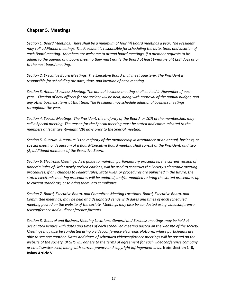# **Chapter 5. Meetings**

*Section 1. Board Meetings. There shall be a minimum of four (4) Board meetings a year. The President may call additional meetings. The President is responsible for scheduling the date, time, and location of each Board meeting. Members are welcome to attend board meetings. If a member requests to be added to the agenda of a board meeting they must notify the Board at least twenty-eight (28) days prior to the next board meeting.* 

*Section 2. Executive Board Meetings. The Executive Board shall meet quarterly. The President is responsible for scheduling the date, time, and location of each meeting.*

*Section 3. Annual Business Meeting. The annual business meeting shall be held in November of each year. Election of new officers for the society will be held, along with approval of the annual budget, and any other business items at that time. The President may schedule additional business meetings throughout the year.*

*Section 4. Special Meetings. The President, the majority of the Board, or 10% of the membership, may call a Special meeting. The reason for the Special meeting must be stated and communicated to the members at least twenty-eight (28) days prior to the Special meeting.* 

*Section 5. Quorum. A quorum is the majority of the membership in attendance at an annual, business, or special meeting. A quorum of a Board/Executive Board meeting shall consist of the President, and two (2) additional members of the Executive Board.*

*Section 6. Electronic Meetings. As a guide to maintain parliamentary procedures, the current version of Robert's Rules of Order newly revised editions, will be used to construct the Society's electronic meeting procedures. If any changes to Federal rules, State rules, or procedures are published in the future, the stated electronic meeting procedures will be updated, and/or modified to bring the stated procedures up to current standards, or to bring them into compliance.*

*Section 7. Board, Executive Board, and Committee Meeting Locations. Board, Executive Board, and Committee meetings, may be held at a designated venue with dates and times of each scheduled meeting posted on the website of the society. Meetings may also be conducted using videoconference, teleconference and audioconference formats.*

*Section 8. General and Business Meeting Locations. General and Business meetings may be held at designated venues with dates and times of each scheduled meeting posted on the website of the society. Meetings may also be conducted using a videoconference electronic platform, where participants are able to see one another. Dates and times of scheduled videoconference meetings will be posted on the website of the society. BFGHS will adhere to the terms of agreement for each videoconference company or email service used, along with current privacy and copyright infringement laws.* **Note: Section 1 -8, Bylaw Article V**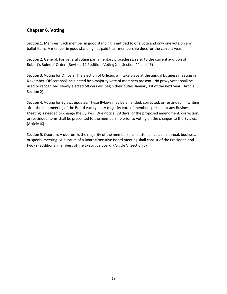# **Chapter 6. Voting**

Section 1. Member. Each member in good standing is entitled to one vote and only one vote on any ballot item. A member in good standing has paid their membership dues for the current year.

Section 2. General. For general voting parliamentary procedures, refer to the current addition of Robert's Rules of Order. (Revised 12<sup>th</sup> edition, Voting XIII, Section 44 and 45)

Section 3. Voting for Officers. The election of Officers will take place at the annual business meeting in November. Officers shall be elected by a majority vote of members present. No proxy votes shall be used or recognized. Newly elected officers will begin their duties January 1st of the next year. (Article IV, Section 2)

Section 4. Voting for Bylaws updates. These Bylaws may be amended, corrected, or rescinded, in writing after the first meeting of the Board each year. A majority vote of members present at any Business Meeting is needed to change the Bylaws. Due notice (28 days) of the proposed amendment, correction, or rescinded items shall be presented to the membership prior to voting on the changes to the Bylaws. (Article IX)

Section 5. Quorum. A quorum is the majority of the membership in attendance at an annual, business, or special meeting. A quorum of a Board/Executive Board meeting shall consist of the President, and two (2) additional members of the Executive Board. (Article V, Section 5)